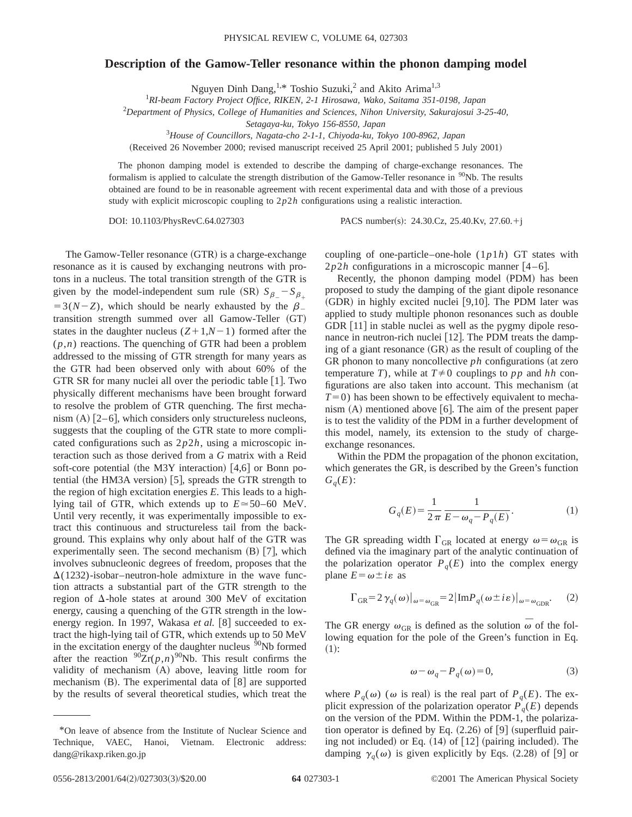## **Description of the Gamow-Teller resonance within the phonon damping model**

Nguyen Dinh Dang, <sup>1,\*</sup> Toshio Suzuki,<sup>2</sup> and Akito Arima<sup>1,3</sup>

1 *RI-beam Factory Project Office, RIKEN, 2-1 Hirosawa, Wako, Saitama 351-0198, Japan*

2 *Department of Physics, College of Humanities and Sciences, Nihon University, Sakurajosui 3-25-40,*

*Setagaya-ku, Tokyo 156-8550, Japan*

3 *House of Councillors, Nagata-cho 2-1-1, Chiyoda-ku, Tokyo 100-8962, Japan*

(Received 26 November 2000; revised manuscript received 25 April 2001; published 5 July 2001)

The phonon damping model is extended to describe the damping of charge-exchange resonances. The formalism is applied to calculate the strength distribution of the Gamow-Teller resonance in <sup>90</sup>Nb. The results obtained are found to be in reasonable agreement with recent experimental data and with those of a previous study with explicit microscopic coupling to 2*p*2*h* configurations using a realistic interaction.

DOI: 10.1103/PhysRevC.64.027303 PACS number(s): 24.30.Cz, 25.40.Kv, 27.60.<sup>+</sup>j

The Gamow-Teller resonance  $(GTR)$  is a charge-exchange resonance as it is caused by exchanging neutrons with protons in a nucleus. The total transition strength of the GTR is given by the model-independent sum rule (SR)  $S_\beta - S_\beta$  $=3(N-Z)$ , which should be nearly exhausted by the  $\beta$ transition strength summed over all Gamow-Teller (GT) states in the daughter nucleus  $(Z+1,N-1)$  formed after the (*p*,*n*) reactions. The quenching of GTR had been a problem addressed to the missing of GTR strength for many years as the GTR had been observed only with about 60% of the GTR SR for many nuclei all over the periodic table  $[1]$ . Two physically different mechanisms have been brought forward to resolve the problem of GTR quenching. The first mechanism  $(A)$   $[2-6]$ , which considers only structureless nucleons, suggests that the coupling of the GTR state to more complicated configurations such as 2*p*2*h*, using a microscopic interaction such as those derived from a *G* matrix with a Reid soft-core potential (the M3Y interaction)  $[4,6]$  or Bonn potential (the HM3A version)  $[5]$ , spreads the GTR strength to the region of high excitation energies *E*. This leads to a highlying tail of GTR, which extends up to  $E \approx 50-60$  MeV. Until very recently, it was experimentally impossible to extract this continuous and structureless tail from the background. This explains why only about half of the GTR was experimentally seen. The second mechanism  $(B)$  [7], which involves subnucleonic degrees of freedom, proposes that the  $\Delta(1232)$ -isobar–neutron-hole admixture in the wave function attracts a substantial part of the GTR strength to the region of  $\Delta$ -hole states at around 300 MeV of excitation energy, causing a quenching of the GTR strength in the lowenergy region. In 1997, Wakasa *et al.* [8] succeeded to extract the high-lying tail of GTR, which extends up to 50 MeV in the excitation energy of the daughter nucleus  $90Nb$  formed after the reaction  $\frac{90}{2}$ r(*p*,*n*)<sup>90</sup>Nb. This result confirms the validity of mechanism (A) above, leaving little room for mechanism  $(B)$ . The experimental data of  $[8]$  are supported by the results of several theoretical studies, which treat the coupling of one-particle–one-hole (1*p*1*h*) GT states with  $2p2h$  configurations in a microscopic manner  $[4-6]$ .

Recently, the phonon damping model (PDM) has been proposed to study the damping of the giant dipole resonance  $(GDR)$  in highly excited nuclei [9,10]. The PDM later was applied to study multiple phonon resonances such as double GDR  $[11]$  in stable nuclei as well as the pygmy dipole resonance in neutron-rich nuclei  $[12]$ . The PDM treats the damping of a giant resonance  $(GR)$  as the result of coupling of the GR phonon to many noncollective  $ph$  configurations (at zero temperature *T*), while at  $T \neq 0$  couplings to *pp* and *hh* configurations are also taken into account. This mechanism (at  $T=0$ ) has been shown to be effectively equivalent to mechanism  $(A)$  mentioned above  $[6]$ . The aim of the present paper is to test the validity of the PDM in a further development of this model, namely, its extension to the study of chargeexchange resonances.

Within the PDM the propagation of the phonon excitation, which generates the GR, is described by the Green's function  $G_q(E)$ :

$$
G_q(E) = \frac{1}{2\pi} \frac{1}{E - \omega_q - P_q(E)}.
$$
 (1)

The GR spreading width  $\Gamma_{GR}$  located at energy  $\omega = \omega_{GR}$  is defined via the imaginary part of the analytic continuation of the polarization operator  $P_q(E)$  into the complex energy plane  $E = \omega \pm i\varepsilon$  as

$$
\Gamma_{GR} = 2 \gamma_q(\omega)|_{\omega = \omega_{GR}} = 2 |\text{Im} P_q(\omega \pm i\varepsilon)|_{\omega = \omega_{GDR}}.
$$
 (2)

The GR energy  $\omega_{GR}$  is defined as the solution  $\overline{\omega}$  of the following equation for the pole of the Green's function in Eq.  $(1):$ 

$$
\omega - \omega_q - P_q(\omega) = 0,\tag{3}
$$

where  $P_q(\omega)$  ( $\omega$  is real) is the real part of  $P_q(E)$ . The explicit expression of the polarization operator  $P_q(E)$  depends on the version of the PDM. Within the PDM-1, the polarization operator is defined by Eq.  $(2.26)$  of  $[9]$  (superfluid pairing not included) or Eq.  $(14)$  of  $[12]$  (pairing included). The damping  $\gamma_q(\omega)$  is given explicitly by Eqs. (2.28) of [9] or

<sup>\*</sup>On leave of absence from the Institute of Nuclear Science and Technique, VAEC, Hanoi, Vietnam. Electronic address: dang@rikaxp.riken.go.jp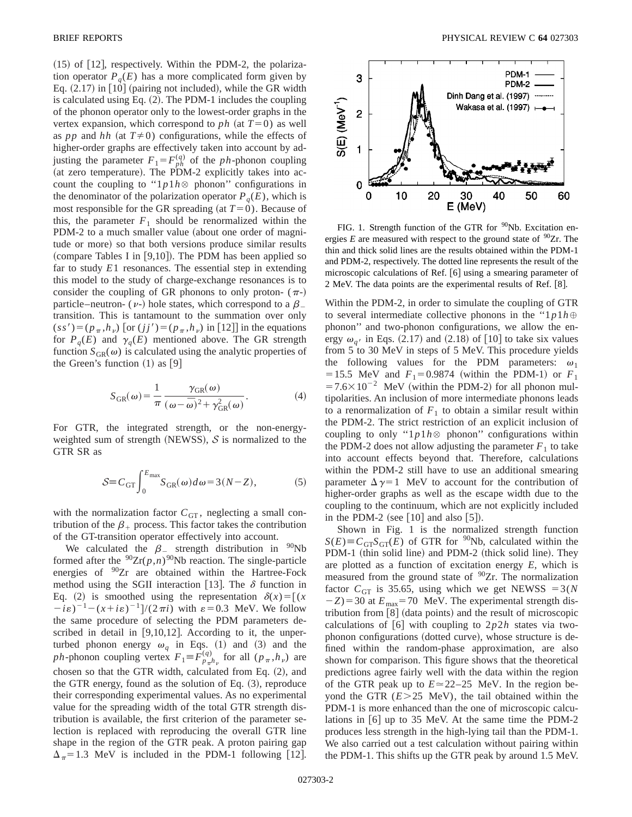$(15)$  of  $[12]$ , respectively. Within the PDM-2, the polarization operator  $P_q(E)$  has a more complicated form given by Eq.  $(2.17)$  in [10] (pairing not included), while the GR width is calculated using Eq.  $(2)$ . The PDM-1 includes the coupling of the phonon operator only to the lowest-order graphs in the vertex expansion, which correspond to *ph* (at  $T=0$ ) as well as *pp* and *hh* (at  $T \neq 0$ ) configurations, while the effects of higher-order graphs are effectively taken into account by adjusting the parameter  $F_1 = F_{ph}^{(q)}$  of the *ph*-phonon coupling (at zero temperature). The PDM-2 explicitly takes into account the coupling to " $1p1h$   $\otimes$  phonon" configurations in the denominator of the polarization operator  $P_q(E)$ , which is most responsible for the GR spreading (at  $T=0$ ). Because of this, the parameter  $F_1$  should be renormalized within the PDM-2 to a much smaller value (about one order of magnitude or more) so that both versions produce similar results (compare Tables I in  $[9,10]$ ). The PDM has been applied so far to study *E*1 resonances. The essential step in extending this model to the study of charge-exchange resonances is to consider the coupling of GR phonons to only proton-  $(\pi-)$ particle–neutron- ( $\nu$ -) hole states, which correspond to a  $\beta$ transition. This is tantamount to the summation over only  $(s s') = (p_{\pi}, h_{\nu})$  [or  $(j j') = (p_{\pi}, h_{\nu})$  in [12]] in the equations for  $P_q(E)$  and  $\gamma_q(E)$  mentioned above. The GR strength function  $S_{GR}(\omega)$  is calculated using the analytic properties of the Green's function  $(1)$  as  $[9]$ 

$$
S_{GR}(\omega) = \frac{1}{\pi} \frac{\gamma_{GR}(\omega)}{(\omega - \bar{\omega})^2 + \gamma_{GR}^2(\omega)}.
$$
 (4)

For GTR, the integrated strength, or the non-energyweighted sum of strength (NEWSS),  $S$  is normalized to the GTR SR as

$$
S \equiv C_{\rm GT} \int_0^{E_{\rm max}} S_{\rm GR}(\omega) d\omega = 3(N - Z), \tag{5}
$$

with the normalization factor  $C_{GT}$ , neglecting a small contribution of the  $\beta_+$  process. This factor takes the contribution of the GT-transition operator effectively into account.

We calculated the  $\beta$  strength distribution in  $90Nb$ formed after the  $90Zr(p,n)$ <sup>90</sup>Nb reaction. The single-particle energies of <sup>90</sup>Zr are obtained within the Hartree-Fock method using the SGII interaction [13]. The  $\delta$  function in Eq. (2) is smoothed using the representation  $\delta(x) = [(x \cdot \delta)(x)]$  $(i\epsilon)^{-1} - (x + i\epsilon)^{-1}$  /(2 $\pi i$ ) with  $\epsilon = 0.3$  MeV. We follow the same procedure of selecting the PDM parameters described in detail in  $[9,10,12]$ . According to it, the unperturbed phonon energy  $\omega_q$  in Eqs. (1) and (3) and the *ph*-phonon coupling vertex  $F_1 = \overline{F}_{p_\pi h_\nu}^{(q)}$  for all  $(p_\pi, h_\nu)$  are chosen so that the GTR width, calculated from Eq.  $(2)$ , and the GTR energy, found as the solution of Eq.  $(3)$ , reproduce their corresponding experimental values. As no experimental value for the spreading width of the total GTR strength distribution is available, the first criterion of the parameter selection is replaced with reproducing the overall GTR line shape in the region of the GTR peak. A proton pairing gap  $\Delta_{\pi}$ =1.3 MeV is included in the PDM-1 following [12].



FIG. 1. Strength function of the GTR for <sup>90</sup>Nb. Excitation energies  $E$  are measured with respect to the ground state of  $90Zr$ . The thin and thick solid lines are the results obtained within the PDM-1 and PDM-2, respectively. The dotted line represents the result of the microscopic calculations of Ref. [6] using a smearing parameter of 2 MeV. The data points are the experimental results of Ref. [8].

Within the PDM-2, in order to simulate the coupling of GTR to several intermediate collective phonons in the " $1p1h \oplus$ phonon'' and two-phonon configurations, we allow the energy  $\omega_{a'}$  in Eqs. (2.17) and (2.18) of [10] to take six values from 5 to 30 MeV in steps of 5 MeV. This procedure yields the following values for the PDM parameters:  $\omega_1$ =15.5 MeV and  $F_1$ =0.9874 (within the PDM-1) or  $F_1$  $=7.6\times10^{-2}$  MeV (within the PDM-2) for all phonon multipolarities. An inclusion of more intermediate phonons leads to a renormalization of  $F_1$  to obtain a similar result within the PDM-2. The strict restriction of an explicit inclusion of coupling to only " $1p1h$   $\otimes$  phonon" configurations within the PDM-2 does not allow adjusting the parameter  $F_1$  to take into account effects beyond that. Therefore, calculations within the PDM-2 still have to use an additional smearing parameter  $\Delta \gamma = 1$  MeV to account for the contribution of higher-order graphs as well as the escape width due to the coupling to the continuum, which are not explicitly included in the PDM-2 (see  $[10]$  and also  $[5]$ ).

Shown in Fig. 1 is the normalized strength function  $S(E) \equiv C_{\text{GT}} S_{\text{GT}}(E)$  of GTR for <sup>90</sup>Nb, calculated within the PDM-1 (thin solid line) and PDM-2 (thick solid line). They are plotted as a function of excitation energy *E*, which is measured from the ground state of <sup>90</sup>Zr. The normalization factor  $C_{GT}$  is 35.65, using which we get NEWSS = 3(*N*  $-Z$ )=30 at  $E_{\text{max}}$ =70 MeV. The experimental strength distribution from [8] (data points) and the result of microscopic calculations of  $[6]$  with coupling to  $2p2h$  states via twophonon configurations (dotted curve), whose structure is defined within the random-phase approximation, are also shown for comparison. This figure shows that the theoretical predictions agree fairly well with the data within the region of the GTR peak up to  $E \approx 22-25$  MeV. In the region beyond the GTR ( $E > 25$  MeV), the tail obtained within the PDM-1 is more enhanced than the one of microscopic calculations in  $[6]$  up to 35 MeV. At the same time the PDM-2 produces less strength in the high-lying tail than the PDM-1. We also carried out a test calculation without pairing within the PDM-1. This shifts up the GTR peak by around 1.5 MeV.